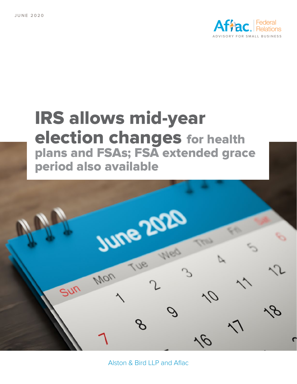

# **IRS allows mid-year election changes for health plans and FSAs; FSA extended grace period also available**



Alston & Bird LLP and Aflac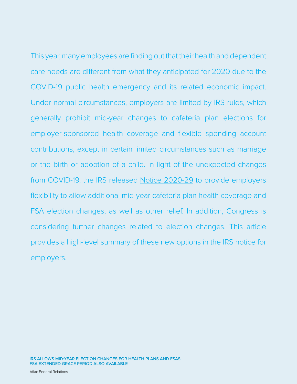This year, many employees are finding out that their health and dependent care needs are different from what they anticipated for 2020 due to the COVID-19 public health emergency and its related economic impact. Under normal circumstances, employers are limited by IRS rules, which generally prohibit mid-year changes to cafeteria plan elections for employer-sponsored health coverage and flexible spending account contributions, except in certain limited circumstances such as marriage or the birth or adoption of a child. In light of the unexpected changes from COVID-19, the IRS released [Notice 2020-29](https://www.irs.gov/pub/irs-drop/n-20-29.pdf) to provide employers flexibility to allow additional mid-year cafeteria plan health coverage and FSA election changes, as well as other relief. In addition, Congress is considering further changes related to election changes. This article provides a high-level summary of these new options in the IRS notice for employers.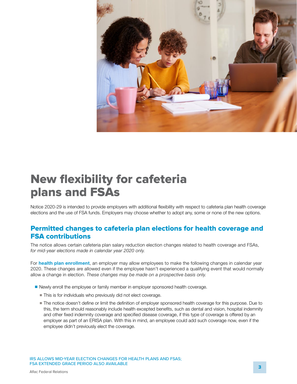

### **New flexibility for cafeteria plans and FSAs**

Notice 2020-29 is intended to provide employers with additional flexibility with respect to cafeteria plan health coverage elections and the use of FSA funds. Employers may choose whether to adopt any, some or none of the new options.

#### **Permitted changes to cafeteria plan elections for health coverage and FSA contributions**

The notice allows certain cafeteria plan salary reduction election changes related to health coverage and FSAs, *for mid-year elections made in calendar year 2020 only.* 

For **health plan enrollment**, an employer may allow employees to make the following changes in calendar year 2020. These changes are allowed even if the employee hasn't experienced a qualifying event that would normally allow a change in election. *These changes may be made on a prospective basis only.* 

- Newly enroll the employee or family member in employer sponsored health coverage.
	- This is for individuals who previously did not elect coverage.
	- The notice doesn't define or limit the definition of employer sponsored health coverage for this purpose. Due to this, the term should reasonably include health excepted benefits, such as dental and vision, hospital indemnity and other fixed indemnity coverage and specified disease coverage, if this type of coverage is offered by an employer as part of an ERISA plan. With this in mind, an employee could add such coverage now, even if the employee didn't previously elect the coverage.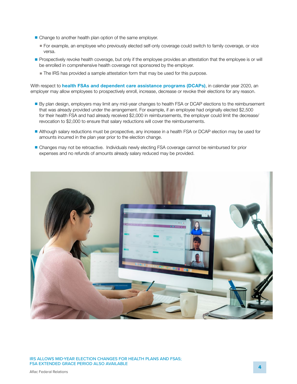- Change to another health plan option of the same employer.
	- For example, an employee who previously elected self-only coverage could switch to family coverage, or vice versa.
- Prospectively revoke health coverage, but only if the employee provides an attestation that the employee is or will be enrolled in comprehensive health coverage not sponsored by the employer.
	- The IRS has provided a sample attestation form that may be used for this purpose.

With respect to **health FSAs and dependent care assistance programs (DCAPs)**, in calendar year 2020, an employer may allow employees to prospectively enroll, increase, decrease or revoke their elections for any reason.

- By plan design, employers may limit any mid-year changes to health FSA or DCAP elections to the reimbursement that was already provided under the arrangement. For example, if an employee had originally elected \$2,500 for their health FSA and had already received \$2,000 in reimbursements, the employer could limit the decrease/ revocation to \$2,000 to ensure that salary reductions will cover the reimbursements.
- Although salary reductions must be prospective, any increase in a health FSA or DCAP election may be used for amounts incurred in the plan year prior to the election change.
- Changes may not be retroactive. Individuals newly electing FSA coverage cannot be reimbursed for prior expenses and no refunds of amounts already salary reduced may be provided.



IRS ALLOWS MID-YEAR ELECTION CHANGES FOR HEALTH PLANS AND FSAS; FSA EXTENDED GRACE PERIOD ALSO AVAILABLE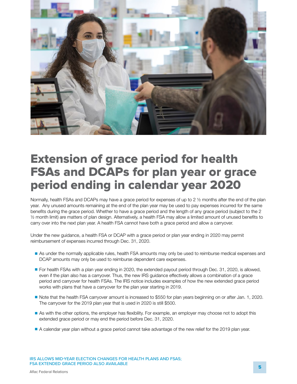

#### **Extension of grace period for health FSAs and DCAPs for plan year or grace period ending in calendar year 2020**

Normally, health FSAs and DCAPs may have a grace period for expenses of up to 2  $\frac{1}{2}$  months after the end of the plan year. Any unused amounts remaining at the end of the plan year may be used to pay expenses incurred for the same benefits during the grace period. Whether to have a grace period and the length of any grace period (subject to the 2 ½ month limit) are matters of plan design. Alternatively, a health FSA may allow a limited amount of unused benefits to carry over into the next plan year. A health FSA cannot have both a grace period and allow a carryover.

Under the new guidance, a health FSA or DCAP with a grace period or plan year ending in 2020 may permit reimbursement of expenses incurred through Dec. 31, 2020.

- As under the normally applicable rules, health FSA amounts may only be used to reimburse medical expenses and DCAP amounts may only be used to reimburse dependent care expenses.
- For health FSAs with a plan year ending in 2020, the extended payout period through Dec. 31, 2020, is allowed, even if the plan also has a carryover. Thus, the new IRS guidance effectively allows a combination of a grace period and carryover for health FSAs. The IRS notice includes examples of how the new extended grace period works with plans that have a carryover for the plan year starting in 2019.
- Note that the health FSA carryover amount is increased to \$550 for plan years beginning on or after Jan. 1, 2020. The carryover for the 2019 plan year that is used in 2020 is still \$500.
- As with the other options, the employer has flexibility. For example, an employer may choose not to adopt this extended grace period or may end the period before Dec. 31, 2020.
- A calendar year plan without a grace period cannot take advantage of the new relief for the 2019 plan year.

IRS ALLOWS MID-YEAR ELECTION CHANGES FOR HEALTH PLANS AND FSAS; FSA EXTENDED GRACE PERIOD ALSO AVAILABLE